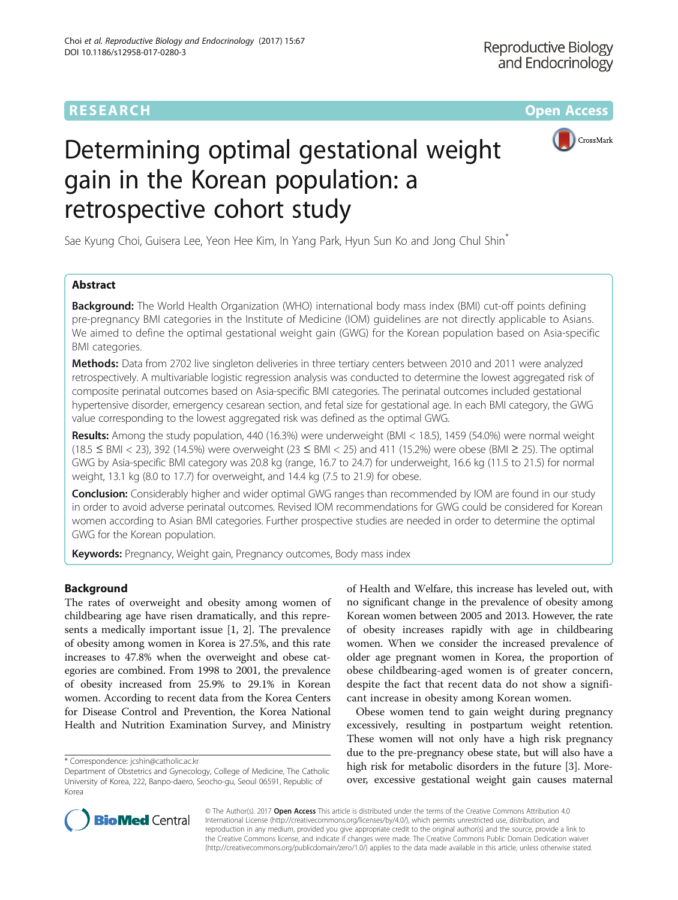# **RESEARCH CHE Open Access**



# Determining optimal gestational weight gain in the Korean population: a retrospective cohort study

Sae Kyung Choi, Guisera Lee, Yeon Hee Kim, In Yang Park, Hyun Sun Ko and Jong Chul Shin<sup>\*</sup>

# Abstract

**Background:** The World Health Organization (WHO) international body mass index (BMI) cut-off points defining pre-pregnancy BMI categories in the Institute of Medicine (IOM) guidelines are not directly applicable to Asians. We aimed to define the optimal gestational weight gain (GWG) for the Korean population based on Asia-specific BMI categories.

Methods: Data from 2702 live singleton deliveries in three tertiary centers between 2010 and 2011 were analyzed retrospectively. A multivariable logistic regression analysis was conducted to determine the lowest aggregated risk of composite perinatal outcomes based on Asia-specific BMI categories. The perinatal outcomes included gestational hypertensive disorder, emergency cesarean section, and fetal size for gestational age. In each BMI category, the GWG value corresponding to the lowest aggregated risk was defined as the optimal GWG.

Results: Among the study population, 440 (16.3%) were underweight (BMI < 18.5), 1459 (54.0%) were normal weight (18.5 ≤ BMI < 23), 392 (14.5%) were overweight (23 ≤ BMI < 25) and 411 (15.2%) were obese (BMI ≥ 25). The optimal GWG by Asia-specific BMI category was 20.8 kg (range, 16.7 to 24.7) for underweight, 16.6 kg (11.5 to 21.5) for normal weight, 13.1 kg (8.0 to 17.7) for overweight, and 14.4 kg (7.5 to 21.9) for obese.

**Conclusion:** Considerably higher and wider optimal GWG ranges than recommended by IOM are found in our study in order to avoid adverse perinatal outcomes. Revised IOM recommendations for GWG could be considered for Korean women according to Asian BMI categories. Further prospective studies are needed in order to determine the optimal GWG for the Korean population.

**Keywords:** Pregnancy, Weight gain, Pregnancy outcomes, Body mass index

# Background

The rates of overweight and obesity among women of childbearing age have risen dramatically, and this represents a medically important issue [[1, 2](#page-5-0)]. The prevalence of obesity among women in Korea is 27.5%, and this rate increases to 47.8% when the overweight and obese categories are combined. From 1998 to 2001, the prevalence of obesity increased from 25.9% to 29.1% in Korean women. According to recent data from the Korea Centers for Disease Control and Prevention, the Korea National Health and Nutrition Examination Survey, and Ministry

\* Correspondence: [jcshin@catholic.ac.kr](mailto:jcshin@catholic.ac.kr)

of Health and Welfare, this increase has leveled out, with no significant change in the prevalence of obesity among Korean women between 2005 and 2013. However, the rate of obesity increases rapidly with age in childbearing women. When we consider the increased prevalence of older age pregnant women in Korea, the proportion of obese childbearing-aged women is of greater concern, despite the fact that recent data do not show a significant increase in obesity among Korean women.

Obese women tend to gain weight during pregnancy excessively, resulting in postpartum weight retention. These women will not only have a high risk pregnancy due to the pre-pregnancy obese state, but will also have a high risk for metabolic disorders in the future [[3](#page-5-0)]. Moreover, excessive gestational weight gain causes maternal



© The Author(s). 2017 **Open Access** This article is distributed under the terms of the Creative Commons Attribution 4.0 International License [\(http://creativecommons.org/licenses/by/4.0/](http://creativecommons.org/licenses/by/4.0/)), which permits unrestricted use, distribution, and reproduction in any medium, provided you give appropriate credit to the original author(s) and the source, provide a link to the Creative Commons license, and indicate if changes were made. The Creative Commons Public Domain Dedication waiver [\(http://creativecommons.org/publicdomain/zero/1.0/](http://creativecommons.org/publicdomain/zero/1.0/)) applies to the data made available in this article, unless otherwise stated.

Department of Obstetrics and Gynecology, College of Medicine, The Catholic University of Korea, 222, Banpo-daero, Seocho-gu, Seoul 06591, Republic of Korea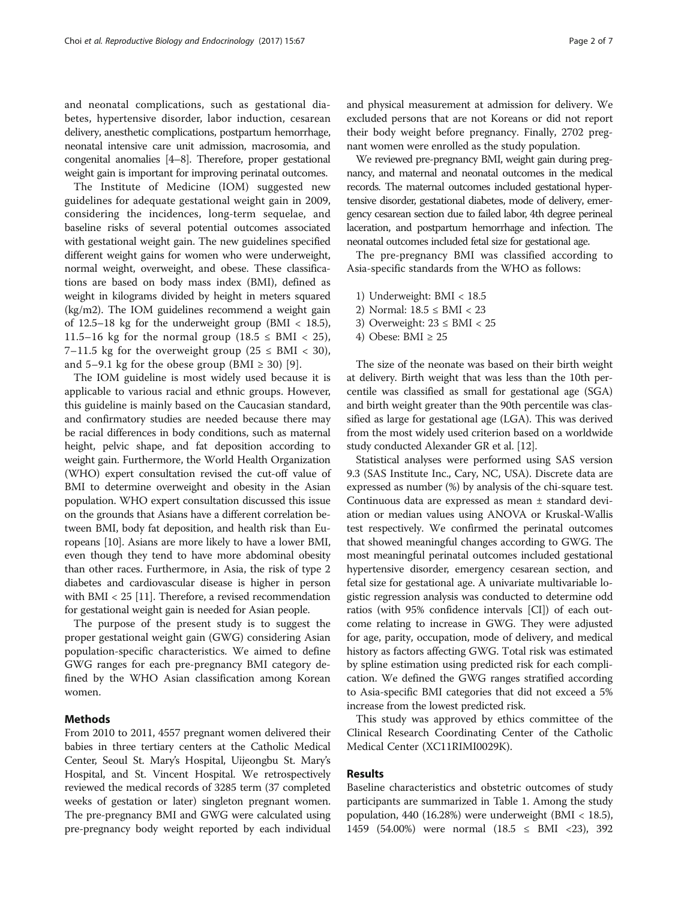and neonatal complications, such as gestational diabetes, hypertensive disorder, labor induction, cesarean delivery, anesthetic complications, postpartum hemorrhage, neonatal intensive care unit admission, macrosomia, and congenital anomalies [\[4](#page-5-0)–[8](#page-5-0)]. Therefore, proper gestational weight gain is important for improving perinatal outcomes.

The Institute of Medicine (IOM) suggested new guidelines for adequate gestational weight gain in 2009, considering the incidences, long-term sequelae, and baseline risks of several potential outcomes associated with gestational weight gain. The new guidelines specified different weight gains for women who were underweight, normal weight, overweight, and obese. These classifications are based on body mass index (BMI), defined as weight in kilograms divided by height in meters squared (kg/m2). The IOM guidelines recommend a weight gain of 12.5–18 kg for the underweight group (BMI  $<$  18.5), 11.5–16 kg for the normal group  $(18.5 \leq BMI < 25)$ , 7–11.5 kg for the overweight group ( $25 \leq BMI < 30$ ), and 5–9.1 kg for the obese group (BMI  $\geq$  30) [[9\]](#page-6-0).

The IOM guideline is most widely used because it is applicable to various racial and ethnic groups. However, this guideline is mainly based on the Caucasian standard, and confirmatory studies are needed because there may be racial differences in body conditions, such as maternal height, pelvic shape, and fat deposition according to weight gain. Furthermore, the World Health Organization (WHO) expert consultation revised the cut-off value of BMI to determine overweight and obesity in the Asian population. WHO expert consultation discussed this issue on the grounds that Asians have a different correlation between BMI, body fat deposition, and health risk than Europeans [\[10\]](#page-6-0). Asians are more likely to have a lower BMI, even though they tend to have more abdominal obesity than other races. Furthermore, in Asia, the risk of type 2 diabetes and cardiovascular disease is higher in person with BMI < 25 [[11](#page-6-0)]. Therefore, a revised recommendation for gestational weight gain is needed for Asian people.

The purpose of the present study is to suggest the proper gestational weight gain (GWG) considering Asian population-specific characteristics. We aimed to define GWG ranges for each pre-pregnancy BMI category defined by the WHO Asian classification among Korean women.

# Methods

From 2010 to 2011, 4557 pregnant women delivered their babies in three tertiary centers at the Catholic Medical Center, Seoul St. Mary's Hospital, Uijeongbu St. Mary's Hospital, and St. Vincent Hospital. We retrospectively reviewed the medical records of 3285 term (37 completed weeks of gestation or later) singleton pregnant women. The pre-pregnancy BMI and GWG were calculated using pre-pregnancy body weight reported by each individual and physical measurement at admission for delivery. We excluded persons that are not Koreans or did not report their body weight before pregnancy. Finally, 2702 pregnant women were enrolled as the study population.

We reviewed pre-pregnancy BMI, weight gain during pregnancy, and maternal and neonatal outcomes in the medical records. The maternal outcomes included gestational hypertensive disorder, gestational diabetes, mode of delivery, emergency cesarean section due to failed labor, 4th degree perineal laceration, and postpartum hemorrhage and infection. The neonatal outcomes included fetal size for gestational age.

The pre-pregnancy BMI was classified according to Asia-specific standards from the WHO as follows:

- 1) Underweight: BMI < 18.5
- 2) Normal: 18.5 ≤ BMI < 23
- 3) Overweight:  $23 \leq BMI < 25$
- 4) Obese: BMI  $\geq 25$

The size of the neonate was based on their birth weight at delivery. Birth weight that was less than the 10th percentile was classified as small for gestational age (SGA) and birth weight greater than the 90th percentile was classified as large for gestational age (LGA). This was derived from the most widely used criterion based on a worldwide study conducted Alexander GR et al. [\[12\]](#page-6-0).

Statistical analyses were performed using SAS version 9.3 (SAS Institute Inc., Cary, NC, USA). Discrete data are expressed as number (%) by analysis of the chi-square test. Continuous data are expressed as mean ± standard deviation or median values using ANOVA or Kruskal-Wallis test respectively. We confirmed the perinatal outcomes that showed meaningful changes according to GWG. The most meaningful perinatal outcomes included gestational hypertensive disorder, emergency cesarean section, and fetal size for gestational age. A univariate multivariable logistic regression analysis was conducted to determine odd ratios (with 95% confidence intervals [CI]) of each outcome relating to increase in GWG. They were adjusted for age, parity, occupation, mode of delivery, and medical history as factors affecting GWG. Total risk was estimated by spline estimation using predicted risk for each complication. We defined the GWG ranges stratified according to Asia-specific BMI categories that did not exceed a 5% increase from the lowest predicted risk.

This study was approved by ethics committee of the Clinical Research Coordinating Center of the Catholic Medical Center (XC11RIMI0029K).

# Results

Baseline characteristics and obstetric outcomes of study participants are summarized in Table [1](#page-2-0). Among the study population, 440 (16.28%) were underweight (BMI < 18.5), 1459 (54.00%) were normal (18.5 ≤ BMI <23), 392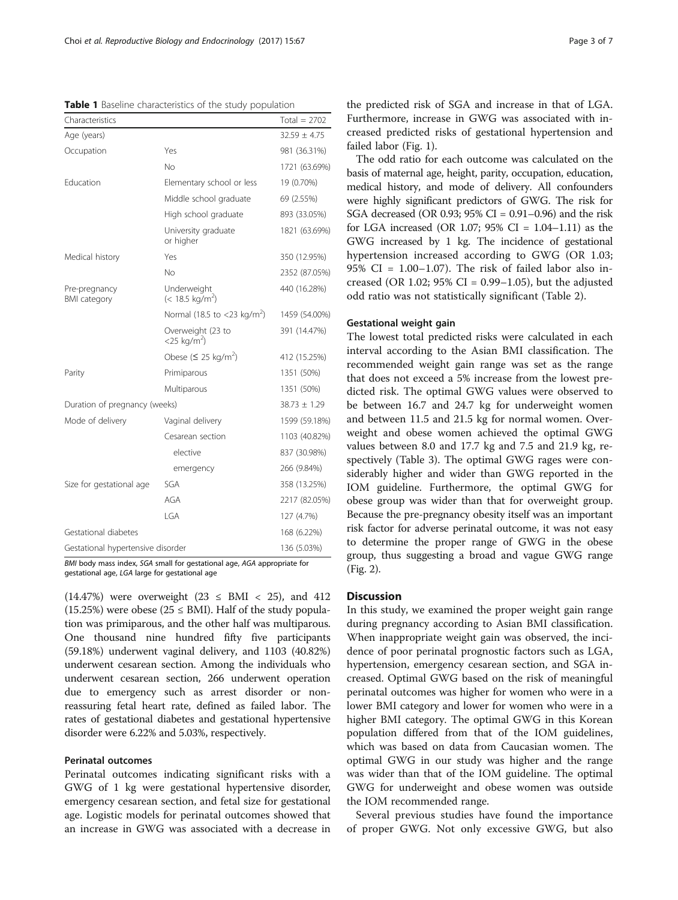<span id="page-2-0"></span>Table 1 Baseline characteristics of the study population

| Characteristics                      |                                                 | Total = $2702$   |
|--------------------------------------|-------------------------------------------------|------------------|
| Age (years)                          |                                                 | $32.59 \pm 4.75$ |
| Occupation                           | Yes                                             | 981 (36.31%)     |
|                                      | No                                              | 1721 (63.69%)    |
| Education                            | Elementary school or less                       | 19 (0.70%)       |
|                                      | Middle school graduate                          | 69 (2.55%)       |
|                                      | High school graduate                            | 893 (33.05%)     |
|                                      | University graduate<br>or higher                | 1821 (63.69%)    |
| Medical history                      | Yes                                             | 350 (12.95%)     |
|                                      | No                                              | 2352 (87.05%)    |
| Pre-pregnancy<br><b>BMI</b> category | Underweight<br>$(< 18.5 \text{ kg/m}^2)$        | 440 (16.28%)     |
|                                      | Normal (18.5 to <23 kg/m <sup>2</sup> )         | 1459 (54.00%)    |
|                                      | Overweight (23 to<br>$<$ 25 kg/m <sup>2</sup> ) | 391 (14.47%)     |
|                                      | Obese ( $\leq$ 25 kg/m <sup>2</sup> )           | 412 (15.25%)     |
| Parity                               | Primiparous                                     | 1351 (50%)       |
|                                      | Multiparous                                     | 1351 (50%)       |
| Duration of pregnancy (weeks)        |                                                 | $38.73 \pm 1.29$ |
| Mode of delivery                     | Vaginal delivery                                | 1599 (59.18%)    |
|                                      | Cesarean section                                | 1103 (40.82%)    |
|                                      | elective                                        | 837 (30.98%)     |
|                                      | emergency                                       | 266 (9.84%)      |
| Size for gestational age             | SGA                                             | 358 (13.25%)     |
|                                      | AGA                                             | 2217 (82.05%)    |
|                                      | IGA                                             | 127 (4.7%)       |
| Gestational diabetes                 |                                                 | 168 (6.22%)      |
| Gestational hypertensive disorder    |                                                 | 136 (5.03%)      |

BMI body mass index, SGA small for gestational age, AGA appropriate for gestational age, LGA large for gestational age

 $(14.47%)$  were overweight  $(23 \leq BMI \leq 25)$ , and 412 (15.25%) were obese (25  $\leq$  BMI). Half of the study population was primiparous, and the other half was multiparous. One thousand nine hundred fifty five participants (59.18%) underwent vaginal delivery, and 1103 (40.82%) underwent cesarean section. Among the individuals who underwent cesarean section, 266 underwent operation due to emergency such as arrest disorder or nonreassuring fetal heart rate, defined as failed labor. The rates of gestational diabetes and gestational hypertensive disorder were 6.22% and 5.03%, respectively.

# Perinatal outcomes

Perinatal outcomes indicating significant risks with a GWG of 1 kg were gestational hypertensive disorder, emergency cesarean section, and fetal size for gestational age. Logistic models for perinatal outcomes showed that an increase in GWG was associated with a decrease in

the predicted risk of SGA and increase in that of LGA. Furthermore, increase in GWG was associated with increased predicted risks of gestational hypertension and failed labor (Fig. [1\)](#page-3-0).

The odd ratio for each outcome was calculated on the basis of maternal age, height, parity, occupation, education, medical history, and mode of delivery. All confounders were highly significant predictors of GWG. The risk for SGA decreased (OR 0.93; 95% CI = 0.91–0.96) and the risk for LGA increased (OR 1.07;  $95\%$  CI = 1.04–1.11) as the GWG increased by 1 kg. The incidence of gestational hypertension increased according to GWG (OR 1.03; 95% CI =  $1.00-1.07$ ). The risk of failed labor also increased (OR 1.02;  $95\%$  CI = 0.99–1.05), but the adjusted odd ratio was not statistically significant (Table [2\)](#page-3-0).

# Gestational weight gain

The lowest total predicted risks were calculated in each interval according to the Asian BMI classification. The recommended weight gain range was set as the range that does not exceed a 5% increase from the lowest predicted risk. The optimal GWG values were observed to be between 16.7 and 24.7 kg for underweight women and between 11.5 and 21.5 kg for normal women. Overweight and obese women achieved the optimal GWG values between 8.0 and 17.7 kg and 7.5 and 21.9 kg, respectively (Table [3](#page-4-0)). The optimal GWG rages were considerably higher and wider than GWG reported in the IOM guideline. Furthermore, the optimal GWG for obese group was wider than that for overweight group. Because the pre-pregnancy obesity itself was an important risk factor for adverse perinatal outcome, it was not easy to determine the proper range of GWG in the obese group, thus suggesting a broad and vague GWG range (Fig. [2](#page-4-0)).

# **Discussion**

In this study, we examined the proper weight gain range during pregnancy according to Asian BMI classification. When inappropriate weight gain was observed, the incidence of poor perinatal prognostic factors such as LGA, hypertension, emergency cesarean section, and SGA increased. Optimal GWG based on the risk of meaningful perinatal outcomes was higher for women who were in a lower BMI category and lower for women who were in a higher BMI category. The optimal GWG in this Korean population differed from that of the IOM guidelines, which was based on data from Caucasian women. The optimal GWG in our study was higher and the range was wider than that of the IOM guideline. The optimal GWG for underweight and obese women was outside the IOM recommended range.

Several previous studies have found the importance of proper GWG. Not only excessive GWG, but also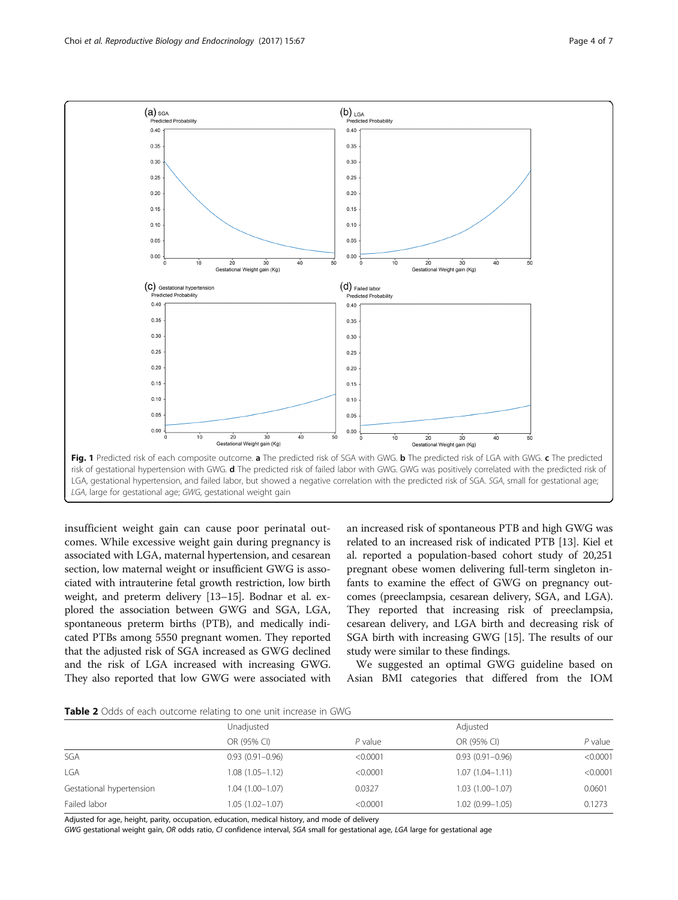<span id="page-3-0"></span>

insufficient weight gain can cause poor perinatal outcomes. While excessive weight gain during pregnancy is associated with LGA, maternal hypertension, and cesarean section, low maternal weight or insufficient GWG is associated with intrauterine fetal growth restriction, low birth weight, and preterm delivery [\[13](#page-6-0)–[15](#page-6-0)]. Bodnar et al. explored the association between GWG and SGA, LGA, spontaneous preterm births (PTB), and medically indicated PTBs among 5550 pregnant women. They reported that the adjusted risk of SGA increased as GWG declined and the risk of LGA increased with increasing GWG. They also reported that low GWG were associated with an increased risk of spontaneous PTB and high GWG was related to an increased risk of indicated PTB [[13](#page-6-0)]. Kiel et al. reported a population-based cohort study of 20,251 pregnant obese women delivering full-term singleton infants to examine the effect of GWG on pregnancy outcomes (preeclampsia, cesarean delivery, SGA, and LGA). They reported that increasing risk of preeclampsia, cesarean delivery, and LGA birth and decreasing risk of SGA birth with increasing GWG [\[15\]](#page-6-0). The results of our study were similar to these findings.

We suggested an optimal GWG guideline based on Asian BMI categories that differed from the IOM

Table 2 Odds of each outcome relating to one unit increase in GWG

|                          | Unadjusted          |           |                     | Adjusted  |  |
|--------------------------|---------------------|-----------|---------------------|-----------|--|
|                          | OR (95% CI)         | $P$ value | OR (95% CI)         | $P$ value |  |
| SGA                      | $0.93(0.91 - 0.96)$ | < 0.0001  | $0.93(0.91 - 0.96)$ | < 0.0001  |  |
| <b>LGA</b>               | $1.08(1.05 - 1.12)$ | < 0.0001  | $1.07(1.04 - 1.11)$ | < 0.0001  |  |
| Gestational hypertension | $1.04(1.00 - 1.07)$ | 0.0327    | $1.03(1.00 - 1.07)$ | 0.0601    |  |
| Failed labor             | 1.05 (1.02-1.07)    | < 0.0001  | $1.02(0.99 - 1.05)$ | 0.1273    |  |

Adjusted for age, height, parity, occupation, education, medical history, and mode of delivery

GWG gestational weight gain, OR odds ratio, CI confidence interval, SGA small for gestational age, LGA large for gestational age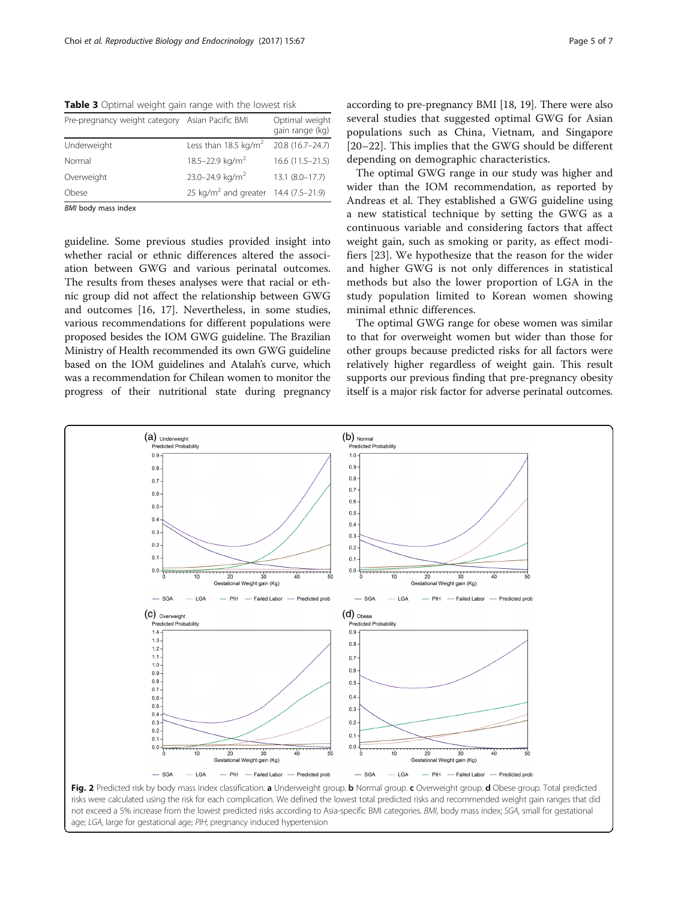<span id="page-4-0"></span>Table 3 Optimal weight gain range with the lowest risk

| Pre-pregnancy weight category Asian Pacific BMI |                                                  | Optimal weight<br>gain range (kg) |
|-------------------------------------------------|--------------------------------------------------|-----------------------------------|
| Underweight                                     | Less than 18.5 kg/m <sup>2</sup>                 | 20.8 (16.7-24.7)                  |
| Normal                                          | 18.5-22.9 kg/m <sup>2</sup>                      | $16.6(11.5 - 21.5)$               |
| Overweight                                      | 23.0-24.9 kg/m <sup>2</sup>                      | $13.1 (8.0 - 17.7)$               |
| Obese                                           | 25 kg/m <sup>2</sup> and greater 14.4 (7.5-21.9) |                                   |

BMI body mass index

guideline. Some previous studies provided insight into whether racial or ethnic differences altered the association between GWG and various perinatal outcomes. The results from theses analyses were that racial or ethnic group did not affect the relationship between GWG and outcomes [\[16](#page-6-0), [17](#page-6-0)]. Nevertheless, in some studies, various recommendations for different populations were proposed besides the IOM GWG guideline. The Brazilian Ministry of Health recommended its own GWG guideline based on the IOM guidelines and Atalah's curve, which was a recommendation for Chilean women to monitor the progress of their nutritional state during pregnancy according to pre-pregnancy BMI [\[18, 19](#page-6-0)]. There were also several studies that suggested optimal GWG for Asian populations such as China, Vietnam, and Singapore [[20](#page-6-0)–[22\]](#page-6-0). This implies that the GWG should be different depending on demographic characteristics.

The optimal GWG range in our study was higher and wider than the IOM recommendation, as reported by Andreas et al. They established a GWG guideline using a new statistical technique by setting the GWG as a continuous variable and considering factors that affect weight gain, such as smoking or parity, as effect modifiers [[23\]](#page-6-0). We hypothesize that the reason for the wider and higher GWG is not only differences in statistical methods but also the lower proportion of LGA in the study population limited to Korean women showing minimal ethnic differences.

The optimal GWG range for obese women was similar to that for overweight women but wider than those for other groups because predicted risks for all factors were relatively higher regardless of weight gain. This result supports our previous finding that pre-pregnancy obesity itself is a major risk factor for adverse perinatal outcomes.

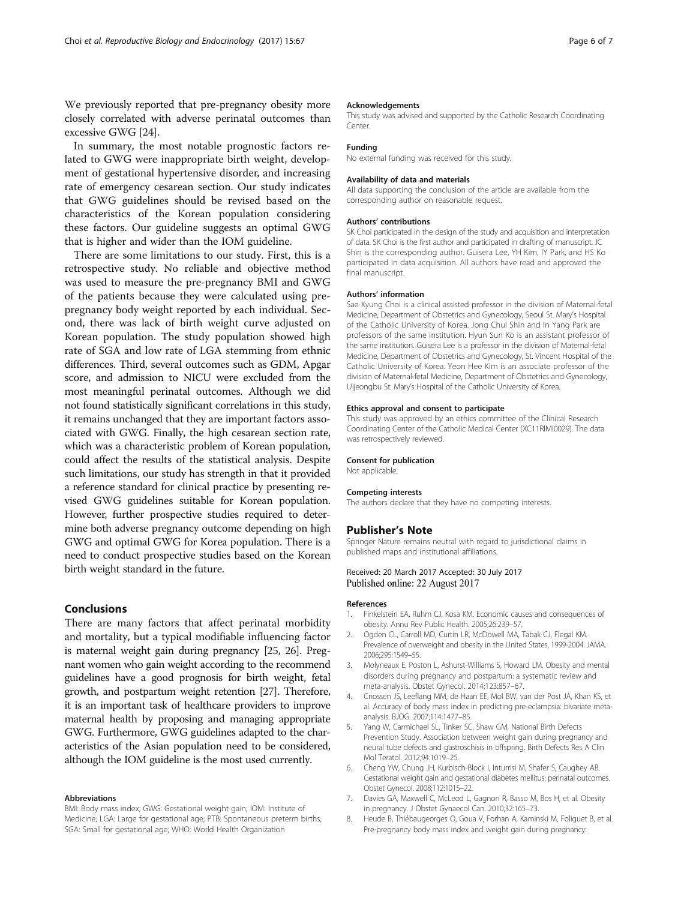<span id="page-5-0"></span>We previously reported that pre-pregnancy obesity more closely correlated with adverse perinatal outcomes than excessive GWG [\[24\]](#page-6-0).

In summary, the most notable prognostic factors related to GWG were inappropriate birth weight, development of gestational hypertensive disorder, and increasing rate of emergency cesarean section. Our study indicates that GWG guidelines should be revised based on the characteristics of the Korean population considering these factors. Our guideline suggests an optimal GWG that is higher and wider than the IOM guideline.

There are some limitations to our study. First, this is a retrospective study. No reliable and objective method was used to measure the pre-pregnancy BMI and GWG of the patients because they were calculated using prepregnancy body weight reported by each individual. Second, there was lack of birth weight curve adjusted on Korean population. The study population showed high rate of SGA and low rate of LGA stemming from ethnic differences. Third, several outcomes such as GDM, Apgar score, and admission to NICU were excluded from the most meaningful perinatal outcomes. Although we did not found statistically significant correlations in this study, it remains unchanged that they are important factors associated with GWG. Finally, the high cesarean section rate, which was a characteristic problem of Korean population, could affect the results of the statistical analysis. Despite such limitations, our study has strength in that it provided a reference standard for clinical practice by presenting revised GWG guidelines suitable for Korean population. However, further prospective studies required to determine both adverse pregnancy outcome depending on high GWG and optimal GWG for Korea population. There is a need to conduct prospective studies based on the Korean birth weight standard in the future.

# Conclusions

There are many factors that affect perinatal morbidity and mortality, but a typical modifiable influencing factor is maternal weight gain during pregnancy [\[25](#page-6-0), [26](#page-6-0)]. Pregnant women who gain weight according to the recommend guidelines have a good prognosis for birth weight, fetal growth, and postpartum weight retention [\[27\]](#page-6-0). Therefore, it is an important task of healthcare providers to improve maternal health by proposing and managing appropriate GWG. Furthermore, GWG guidelines adapted to the characteristics of the Asian population need to be considered, although the IOM guideline is the most used currently.

# Abbreviations

BMI: Body mass index; GWG: Gestational weight gain; IOM: Institute of Medicine; LGA: Large for gestational age; PTB: Spontaneous preterm births; SGA: Small for gestational age; WHO: World Health Organization

#### Acknowledgements

This study was advised and supported by the Catholic Research Coordinating Center.

# Funding

No external funding was received for this study.

#### Availability of data and materials

All data supporting the conclusion of the article are available from the corresponding author on reasonable request.

#### Authors' contributions

SK Choi participated in the design of the study and acquisition and interpretation of data. SK Choi is the first author and participated in drafting of manuscript. JC Shin is the corresponding author. Guisera Lee, YH Kim, IY Park, and HS Ko participated in data acquisition. All authors have read and approved the final manuscript.

#### Authors' information

Sae Kyung Choi is a clinical assisted professor in the division of Maternal-fetal Medicine, Department of Obstetrics and Gynecology, Seoul St. Mary's Hospital of the Catholic University of Korea. Jong Chul Shin and In Yang Park are professors of the same institution. Hyun Sun Ko is an assistant professor of the same institution. Guisera Lee is a professor in the division of Maternal-fetal Medicine, Department of Obstetrics and Gynecology, St. Vincent Hospital of the Catholic University of Korea. Yeon Hee Kim is an associate professor of the division of Maternal-fetal Medicine, Department of Obstetrics and Gynecology, Uijeongbu St. Mary's Hospital of the Catholic University of Korea.

## Ethics approval and consent to participate

This study was approved by an ethics committee of the Clinical Research Coordinating Center of the Catholic Medical Center (XC11RIMI0029). The data was retrospectively reviewed.

#### Consent for publication

Not applicable.

#### Competing interests

The authors declare that they have no competing interests.

## Publisher's Note

Springer Nature remains neutral with regard to jurisdictional claims in published maps and institutional affiliations.

# Received: 20 March 2017 Accepted: 30 July 2017 Published online: 22 August 2017

#### References

- 1. Finkelstein EA, Ruhm CJ, Kosa KM. Economic causes and consequences of obesity. Annu Rev Public Health. 2005;26:239–57.
- 2. Ogden CL, Carroll MD, Curtin LR, McDowell MA, Tabak CJ, Flegal KM. Prevalence of overweight and obesity in the United States, 1999-2004. JAMA. 2006;295:1549–55.
- 3. Molyneaux E, Poston L, Ashurst-Williams S, Howard LM. Obesity and mental disorders during pregnancy and postpartum: a systematic review and meta-analysis. Obstet Gynecol. 2014;123:857–67.
- 4. Cnossen JS, Leeflang MM, de Haan EE, Mol BW, van der Post JA, Khan KS, et al. Accuracy of body mass index in predicting pre-eclampsia: bivariate metaanalysis. BJOG. 2007;114:1477–85.
- 5. Yang W, Carmichael SL, Tinker SC, Shaw GM, National Birth Defects Prevention Study. Association between weight gain during pregnancy and neural tube defects and gastroschisis in offspring. Birth Defects Res A Clin Mol Teratol. 2012;94:1019–25.
- 6. Cheng YW, Chung JH, Kurbisch-Block I, Inturrisi M, Shafer S, Caughey AB. Gestational weight gain and gestational diabetes mellitus: perinatal outcomes. Obstet Gynecol. 2008;112:1015–22.
- 7. Davies GA, Maxwell C, McLeod L, Gagnon R, Basso M, Bos H, et al. Obesity in pregnancy. J Obstet Gynaecol Can. 2010;32:165–73.
- 8. Heude B, Thiébaugeorges O, Goua V, Forhan A, Kaminski M, Foliguet B, et al. Pre-pregnancy body mass index and weight gain during pregnancy: